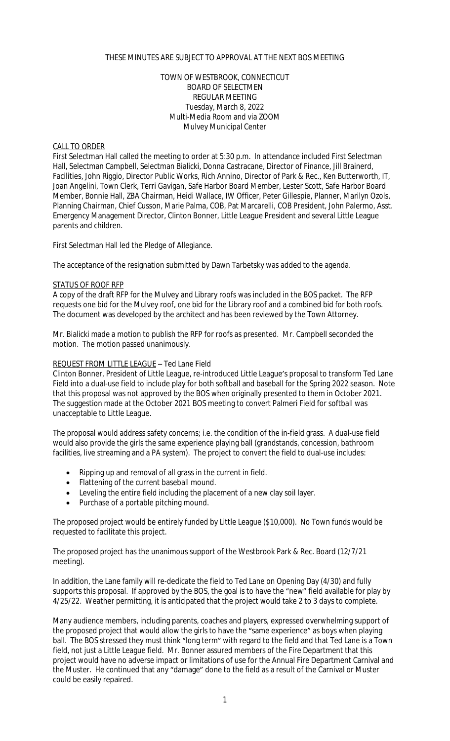# THESE MINUTES ARE SUBJECT TO APPROVAL AT THE NEXT BOS MEETING

# TOWN OF WESTBROOK, CONNECTICUT BOARD OF SELECTMEN REGULAR MEETING Tuesday, March 8, 2022 Multi-Media Room and via ZOOM Mulvey Municipal Center

## CALL TO ORDER

First Selectman Hall called the meeting to order at 5:30 p.m. In attendance included First Selectman Hall, Selectman Campbell, Selectman Bialicki, Donna Castracane, Director of Finance, Jill Brainerd, Facilities, John Riggio, Director Public Works, Rich Annino, Director of Park & Rec., Ken Butterworth, IT, Joan Angelini, Town Clerk, Terri Gavigan, Safe Harbor Board Member, Lester Scott, Safe Harbor Board Member, Bonnie Hall, ZBA Chairman, Heidi Wallace, IW Officer, Peter Gillespie, Planner, Marilyn Ozols, Planning Chairman, Chief Cusson, Marie Palma, COB, Pat Marcarelli, COB President, John Palermo, Asst. Emergency Management Director, Clinton Bonner, Little League President and several Little League parents and children.

First Selectman Hall led the Pledge of Allegiance.

The acceptance of the resignation submitted by Dawn Tarbetsky was added to the agenda.

## STATUS OF ROOF RFP

A copy of the draft RFP for the Mulvey and Library roofs was included in the BOS packet. The RFP requests one bid for the Mulvey roof, one bid for the Library roof and a combined bid for both roofs. The document was developed by the architect and has been reviewed by the Town Attorney.

Mr. Bialicki made a motion to publish the RFP for roofs as presented. Mr. Campbell seconded the motion. The motion passed unanimously.

## REQUEST FROM LITTLE LEAGUE – Ted Lane Field

Clinton Bonner, President of Little League, re-introduced Little League's proposal to transform Ted Lane Field into a dual-use field to include play for both softball and baseball for the Spring 2022 season. Note that this proposal was not approved by the BOS when originally presented to them in October 2021. The suggestion made at the October 2021 BOS meeting to convert Palmeri Field for softball was unacceptable to Little League.

The proposal would address safety concerns; i.e. the condition of the in-field grass. A dual-use field would also provide the girls the same experience playing ball (grandstands, concession, bathroom facilities, live streaming and a PA system). The project to convert the field to dual-use includes:

- Ripping up and removal of all grass in the current in field.
- Flattening of the current baseball mound.
- Leveling the entire field including the placement of a new clay soil layer.
- Purchase of a portable pitching mound.

The proposed project would be entirely funded by Little League (\$10,000). No Town funds would be requested to facilitate this project.

The proposed project has the unanimous support of the Westbrook Park & Rec. Board (12/7/21 meeting).

In addition, the Lane family will re-dedicate the field to Ted Lane on Opening Day (4/30) and fully supports this proposal. If approved by the BOS, the goal is to have the "new" field available for play by 4/25/22. Weather permitting, it is anticipated that the project would take 2 to 3 days to complete.

Many audience members, including parents, coaches and players, expressed overwhelming support of the proposed project that would allow the girls to have the "same experience" as boys when playing ball. The BOS stressed they must think "long term" with regard to the field and that Ted Lane is a Town field, not just a Little League field. Mr. Bonner assured members of the Fire Department that this project would have no adverse impact or limitations of use for the Annual Fire Department Carnival and the Muster. He continued that any "damage" done to the field as a result of the Carnival or Muster could be easily repaired.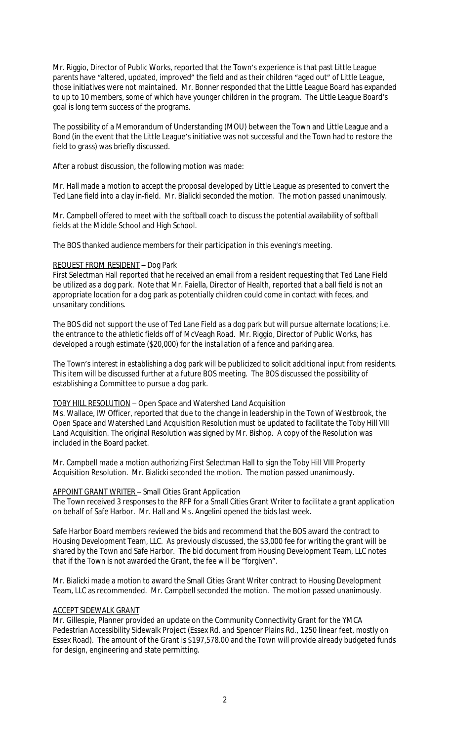Mr. Riggio, Director of Public Works, reported that the Town's experience is that past Little League parents have "altered, updated, improved" the field and as their children "aged out" of Little League, those initiatives were not maintained. Mr. Bonner responded that the Little League Board has expanded to up to 10 members, some of which have younger children in the program. The Little League Board's goal is long term success of the programs.

The possibility of a Memorandum of Understanding (MOU) between the Town and Little League and a Bond (in the event that the Little League's initiative was not successful and the Town had to restore the field to grass) was briefly discussed.

After a robust discussion, the following motion was made:

Mr. Hall made a motion to accept the proposal developed by Little League as presented to convert the Ted Lane field into a clay in-field. Mr. Bialicki seconded the motion. The motion passed unanimously.

Mr. Campbell offered to meet with the softball coach to discuss the potential availability of softball fields at the Middle School and High School.

The BOS thanked audience members for their participation in this evening's meeting.

# REQUEST FROM RESIDENT – Dog Park

First Selectman Hall reported that he received an email from a resident requesting that Ted Lane Field be utilized as a dog park. Note that Mr. Faiella, Director of Health, reported that a ball field is not an appropriate location for a dog park as potentially children could come in contact with feces, and unsanitary conditions.

The BOS did not support the use of Ted Lane Field as a dog park but will pursue alternate locations; i.e. the entrance to the athletic fields off of McVeagh Road. Mr. Riggio, Director of Public Works, has developed a rough estimate (\$20,000) for the installation of a fence and parking area.

The Town's interest in establishing a dog park will be publicized to solicit additional input from residents. This item will be discussed further at a future BOS meeting. The BOS discussed the possibility of establishing a Committee to pursue a dog park.

# TOBY HILL RESOLUTION – Open Space and Watershed Land Acquisition

Ms. Wallace, IW Officer, reported that due to the change in leadership in the Town of Westbrook, the Open Space and Watershed Land Acquisition Resolution must be updated to facilitate the Toby Hill VIII Land Acquisition. The original Resolution was signed by Mr. Bishop. A copy of the Resolution was included in the Board packet.

Mr. Campbell made a motion authorizing First Selectman Hall to sign the Toby Hill VIII Property Acquisition Resolution. Mr. Bialicki seconded the motion. The motion passed unanimously.

## APPOINT GRANT WRITER – Small Cities Grant Application

The Town received 3 responses to the RFP for a Small Cities Grant Writer to facilitate a grant application on behalf of Safe Harbor. Mr. Hall and Ms. Angelini opened the bids last week.

Safe Harbor Board members reviewed the bids and recommend that the BOS award the contract to Housing Development Team, LLC. As previously discussed, the \$3,000 fee for writing the grant will be shared by the Town and Safe Harbor. The bid document from Housing Development Team, LLC notes that if the Town is not awarded the Grant, the fee will be "forgiven".

Mr. Bialicki made a motion to award the Small Cities Grant Writer contract to Housing Development Team, LLC as recommended. Mr. Campbell seconded the motion. The motion passed unanimously.

## ACCEPT SIDEWALK GRANT

Mr. Gillespie, Planner provided an update on the Community Connectivity Grant for the YMCA Pedestrian Accessibility Sidewalk Project (Essex Rd. and Spencer Plains Rd., 1250 linear feet, mostly on Essex Road). The amount of the Grant is \$197,578.00 and the Town will provide already budgeted funds for design, engineering and state permitting.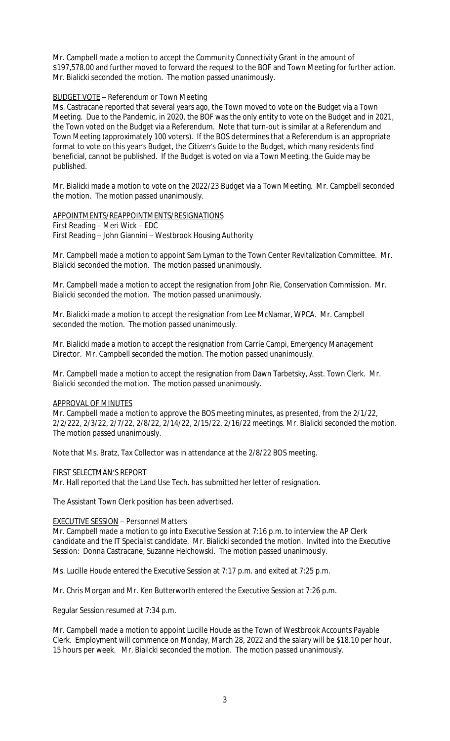Mr. Campbell made a motion to accept the Community Connectivity Grant in the amount of \$197,578.00 and further moved to forward the request to the BOF and Town Meeting for further action. Mr. Bialicki seconded the motion. The motion passed unanimously.

# BUDGET VOTE – Referendum or Town Meeting

Ms. Castracane reported that several years ago, the Town moved to vote on the Budget via a Town Meeting. Due to the Pandemic, in 2020, the BOF was the only entity to vote on the Budget and in 2021, the Town voted on the Budget via a Referendum. Note that turn-out is similar at a Referendum and Town Meeting (approximately 100 voters). If the BOS determines that a Referendum is an appropriate format to vote on this year's Budget, the Citizen's Guide to the Budget, which many residents find beneficial, cannot be published. If the Budget is voted on via a Town Meeting, the Guide may be published.

Mr. Bialicki made a motion to vote on the 2022/23 Budget via a Town Meeting. Mr. Campbell seconded the motion. The motion passed unanimously.

APPOINTMENTS/REAPPOINTMENTS/RESIGNATIONS First Reading – Meri Wick – EDC First Reading – John Giannini – Westbrook Housing Authority

Mr. Campbell made a motion to appoint Sam Lyman to the Town Center Revitalization Committee. Mr. Bialicki seconded the motion. The motion passed unanimously.

Mr. Campbell made a motion to accept the resignation from John Rie, Conservation Commission. Mr. Bialicki seconded the motion. The motion passed unanimously.

Mr. Bialicki made a motion to accept the resignation from Lee McNamar, WPCA. Mr. Campbell seconded the motion. The motion passed unanimously.

Mr. Bialicki made a motion to accept the resignation from Carrie Campi, Emergency Management Director. Mr. Campbell seconded the motion. The motion passed unanimously.

Mr. Campbell made a motion to accept the resignation from Dawn Tarbetsky, Asst. Town Clerk. Mr. Bialicki seconded the motion. The motion passed unanimously.

## APPROVAL OF MINUTES

Mr. Campbell made a motion to approve the BOS meeting minutes, as presented, from the 2/1/22, 2/2/222, 2/3/22, 2/7/22, 2/8/22, 2/14/22, 2/15/22, 2/16/22 meetings. Mr. Bialicki seconded the motion. The motion passed unanimously.

Note that Ms. Bratz, Tax Collector was in attendance at the 2/8/22 BOS meeting.

## FIRST SELECTMAN'S REPORT

Mr. Hall reported that the Land Use Tech. has submitted her letter of resignation.

The Assistant Town Clerk position has been advertised.

## EXECUTIVE SESSION – Personnel Matters

Mr. Campbell made a motion to go into Executive Session at 7:16 p.m. to interview the AP Clerk candidate and the IT Specialist candidate. Mr. Bialicki seconded the motion. Invited into the Executive Session: Donna Castracane, Suzanne Helchowski. The motion passed unanimously.

Ms. Lucille Houde entered the Executive Session at 7:17 p.m. and exited at 7:25 p.m.

Mr. Chris Morgan and Mr. Ken Butterworth entered the Executive Session at 7:26 p.m.

Regular Session resumed at 7:34 p.m.

Mr. Campbell made a motion to appoint Lucille Houde as the Town of Westbrook Accounts Payable Clerk. Employment will commence on Monday, March 28, 2022 and the salary will be \$18.10 per hour, 15 hours per week. Mr. Bialicki seconded the motion. The motion passed unanimously.